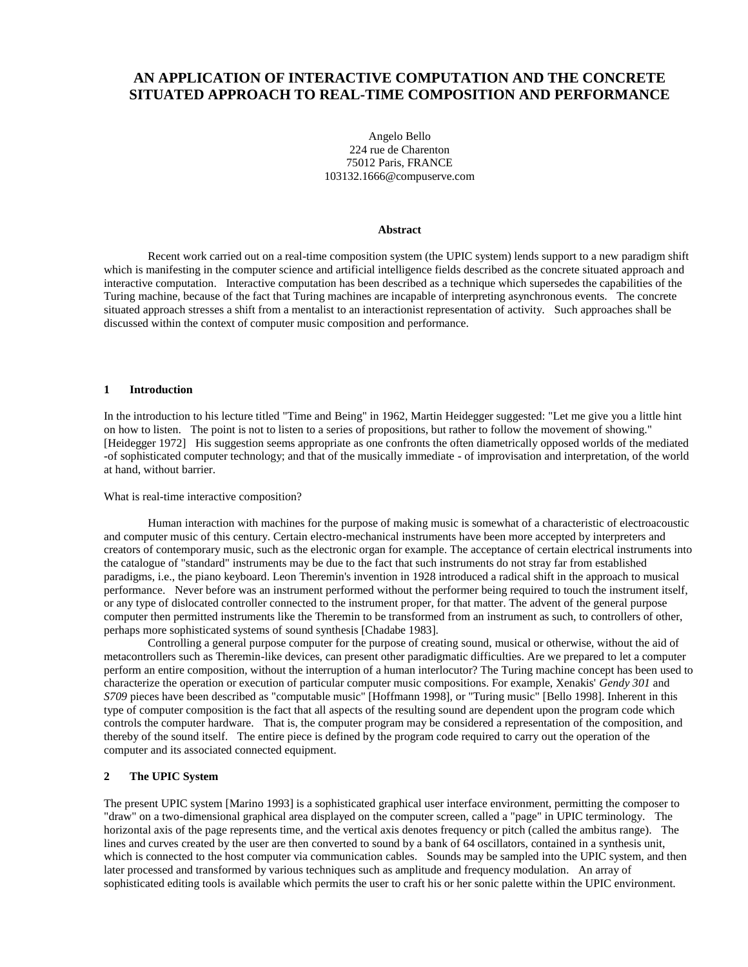# **AN APPLICATION OF INTERACTIVE COMPUTATION AND THE CONCRETE SITUATED APPROACH TO REAL-TIME COMPOSITION AND PERFORMANCE**

Angelo Bello 224 rue de Charenton 75012 Paris, FRANCE 103132.1666@compuserve.com

#### **Abstract**

Recent work carried out on a real-time composition system (the UPIC system) lends support to a new paradigm shift which is manifesting in the computer science and artificial intelligence fields described as the concrete situated approach and interactive computation. Interactive computation has been described as a technique which supersedes the capabilities of the Turing machine, because of the fact that Turing machines are incapable of interpreting asynchronous events. The concrete situated approach stresses a shift from a mentalist to an interactionist representation of activity. Such approaches shall be discussed within the context of computer music composition and performance.

#### **1 Introduction**

In the introduction to his lecture titled "Time and Being" in 1962, Martin Heidegger suggested: "Let me give you a little hint on how to listen. The point is not to listen to a series of propositions, but rather to follow the movement of showing." [Heidegger 1972] His suggestion seems appropriate as one confronts the often diametrically opposed worlds of the mediated -of sophisticated computer technology; and that of the musically immediate - of improvisation and interpretation, of the world at hand, without barrier.

#### What is real-time interactive composition?

Human interaction with machines for the purpose of making music is somewhat of a characteristic of electroacoustic and computer music of this century. Certain electro-mechanical instruments have been more accepted by interpreters and creators of contemporary music, such as the electronic organ for example. The acceptance of certain electrical instruments into the catalogue of "standard" instruments may be due to the fact that such instruments do not stray far from established paradigms, i.e., the piano keyboard. Leon Theremin's invention in 1928 introduced a radical shift in the approach to musical performance. Never before was an instrument performed without the performer being required to touch the instrument itself, or any type of dislocated controller connected to the instrument proper, for that matter. The advent of the general purpose computer then permitted instruments like the Theremin to be transformed from an instrument as such, to controllers of other, perhaps more sophisticated systems of sound synthesis [Chadabe 1983].

Controlling a general purpose computer for the purpose of creating sound, musical or otherwise, without the aid of metacontrollers such as Theremin-like devices, can present other paradigmatic difficulties. Are we prepared to let a computer perform an entire composition, without the interruption of a human interlocutor? The Turing machine concept has been used to characterize the operation or execution of particular computer music compositions. For example, Xenakis' *Gendy 301* and *S709* pieces have been described as "computable music" [Hoffmann 1998], or "Turing music" [Bello 1998]. Inherent in this type of computer composition is the fact that all aspects of the resulting sound are dependent upon the program code which controls the computer hardware. That is, the computer program may be considered a representation of the composition, and thereby of the sound itself. The entire piece is defined by the program code required to carry out the operation of the computer and its associated connected equipment.

#### **2 The UPIC System**

The present UPIC system [Marino 1993] is a sophisticated graphical user interface environment, permitting the composer to "draw" on a two-dimensional graphical area displayed on the computer screen, called a "page" in UPIC terminology. The horizontal axis of the page represents time, and the vertical axis denotes frequency or pitch (called the ambitus range). The lines and curves created by the user are then converted to sound by a bank of 64 oscillators, contained in a synthesis unit, which is connected to the host computer via communication cables. Sounds may be sampled into the UPIC system, and then later processed and transformed by various techniques such as amplitude and frequency modulation. An array of sophisticated editing tools is available which permits the user to craft his or her sonic palette within the UPIC environment.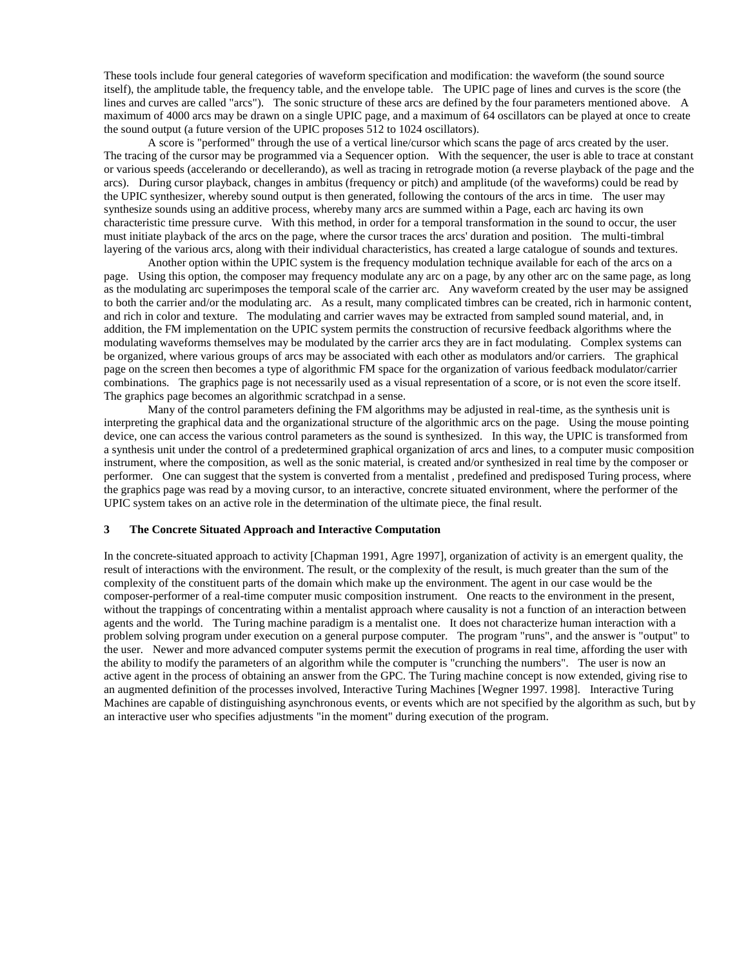These tools include four general categories of waveform specification and modification: the waveform (the sound source itself), the amplitude table, the frequency table, and the envelope table. The UPIC page of lines and curves is the score (the lines and curves are called "arcs"). The sonic structure of these arcs are defined by the four parameters mentioned above. A maximum of 4000 arcs may be drawn on a single UPIC page, and a maximum of 64 oscillators can be played at once to create the sound output (a future version of the UPIC proposes 512 to 1024 oscillators).

A score is "performed" through the use of a vertical line/cursor which scans the page of arcs created by the user. The tracing of the cursor may be programmed via a Sequencer option. With the sequencer, the user is able to trace at constant or various speeds (accelerando or decellerando), as well as tracing in retrograde motion (a reverse playback of the page and the arcs). During cursor playback, changes in ambitus (frequency or pitch) and amplitude (of the waveforms) could be read by the UPIC synthesizer, whereby sound output is then generated, following the contours of the arcs in time. The user may synthesize sounds using an additive process, whereby many arcs are summed within a Page, each arc having its own characteristic time pressure curve. With this method, in order for a temporal transformation in the sound to occur, the user must initiate playback of the arcs on the page, where the cursor traces the arcs' duration and position. The multi-timbral layering of the various arcs, along with their individual characteristics, has created a large catalogue of sounds and textures.

Another option within the UPIC system is the frequency modulation technique available for each of the arcs on a page. Using this option, the composer may frequency modulate any arc on a page, by any other arc on the same page, as long as the modulating arc superimposes the temporal scale of the carrier arc. Any waveform created by the user may be assigned to both the carrier and/or the modulating arc. As a result, many complicated timbres can be created, rich in harmonic content, and rich in color and texture. The modulating and carrier waves may be extracted from sampled sound material, and, in addition, the FM implementation on the UPIC system permits the construction of recursive feedback algorithms where the modulating waveforms themselves may be modulated by the carrier arcs they are in fact modulating. Complex systems can be organized, where various groups of arcs may be associated with each other as modulators and/or carriers. The graphical page on the screen then becomes a type of algorithmic FM space for the organization of various feedback modulator/carrier combinations. The graphics page is not necessarily used as a visual representation of a score, or is not even the score itself. The graphics page becomes an algorithmic scratchpad in a sense.

Many of the control parameters defining the FM algorithms may be adjusted in real-time, as the synthesis unit is interpreting the graphical data and the organizational structure of the algorithmic arcs on the page. Using the mouse pointing device, one can access the various control parameters as the sound is synthesized. In this way, the UPIC is transformed from a synthesis unit under the control of a predetermined graphical organization of arcs and lines, to a computer music composition instrument, where the composition, as well as the sonic material, is created and/or synthesized in real time by the composer or performer. One can suggest that the system is converted from a mentalist , predefined and predisposed Turing process, where the graphics page was read by a moving cursor, to an interactive, concrete situated environment, where the performer of the UPIC system takes on an active role in the determination of the ultimate piece, the final result.

## **3 The Concrete Situated Approach and Interactive Computation**

In the concrete-situated approach to activity [Chapman 1991, Agre 1997], organization of activity is an emergent quality, the result of interactions with the environment. The result, or the complexity of the result, is much greater than the sum of the complexity of the constituent parts of the domain which make up the environment. The agent in our case would be the composer-performer of a real-time computer music composition instrument. One reacts to the environment in the present, without the trappings of concentrating within a mentalist approach where causality is not a function of an interaction between agents and the world. The Turing machine paradigm is a mentalist one. It does not characterize human interaction with a problem solving program under execution on a general purpose computer. The program "runs", and the answer is "output" to the user. Newer and more advanced computer systems permit the execution of programs in real time, affording the user with the ability to modify the parameters of an algorithm while the computer is "crunching the numbers". The user is now an active agent in the process of obtaining an answer from the GPC. The Turing machine concept is now extended, giving rise to an augmented definition of the processes involved, Interactive Turing Machines [Wegner 1997. 1998]. Interactive Turing Machines are capable of distinguishing asynchronous events, or events which are not specified by the algorithm as such, but by an interactive user who specifies adjustments "in the moment" during execution of the program.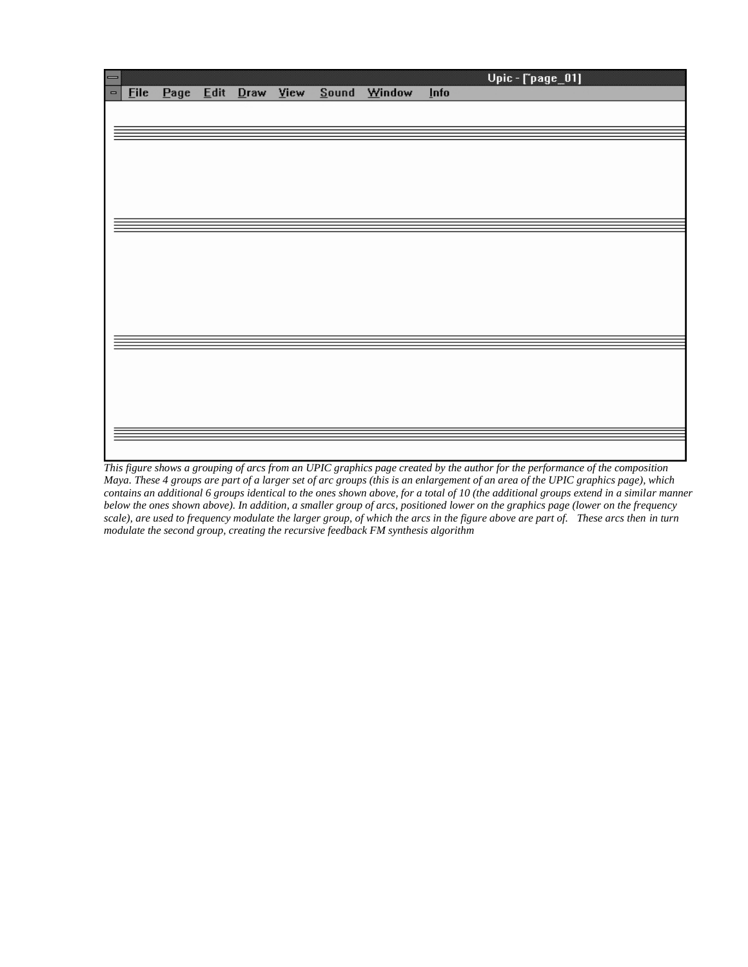| $\equiv$        |             |      |      |           |       |        |             | Upic - [`page_01] |
|-----------------|-------------|------|------|-----------|-------|--------|-------------|-------------------|
| $\qquad \qquad$ | <b>Eile</b> | Page | Edit | Draw View | Sound | Window | <b>Info</b> |                   |
|                 |             |      |      |           |       |        |             |                   |
|                 |             |      |      |           |       |        |             |                   |
|                 |             |      |      |           |       |        |             |                   |
|                 |             |      |      |           |       |        |             |                   |
|                 |             |      |      |           |       |        |             |                   |
|                 |             |      |      |           |       |        |             |                   |
|                 |             |      |      |           |       |        |             |                   |
|                 |             |      |      |           |       |        |             |                   |
|                 |             |      |      |           |       |        |             |                   |
|                 |             |      |      |           |       |        |             |                   |
|                 |             |      |      |           |       |        |             |                   |
|                 |             |      |      |           |       |        |             |                   |
|                 |             |      |      |           |       |        |             |                   |
|                 |             |      |      |           |       |        |             |                   |
|                 |             |      |      |           |       |        |             |                   |
|                 |             |      |      |           |       |        |             |                   |
|                 |             |      |      |           |       |        |             |                   |
|                 |             |      |      |           |       |        |             |                   |
|                 |             |      |      |           |       |        |             |                   |
|                 |             |      |      |           |       |        |             |                   |
|                 |             |      |      |           |       |        |             |                   |
|                 |             |      |      |           |       |        |             |                   |
|                 |             |      |      |           |       |        |             |                   |

*This figure shows a grouping of arcs from an UPIC graphics page created by the author for the performance of the composition Maya. These 4 groups are part of a larger set of arc groups (this is an enlargement of an area of the UPIC graphics page), which contains an additional 6 groups identical to the ones shown above, for a total of 10 (the additional groups extend in a similar manner below the ones shown above). In addition, a smaller group of arcs, positioned lower on the graphics page (lower on the frequency scale), are used to frequency modulate the larger group, of which the arcs in the figure above are part of. These arcs then in turn modulate the second group, creating the recursive feedback FM synthesis algorithm*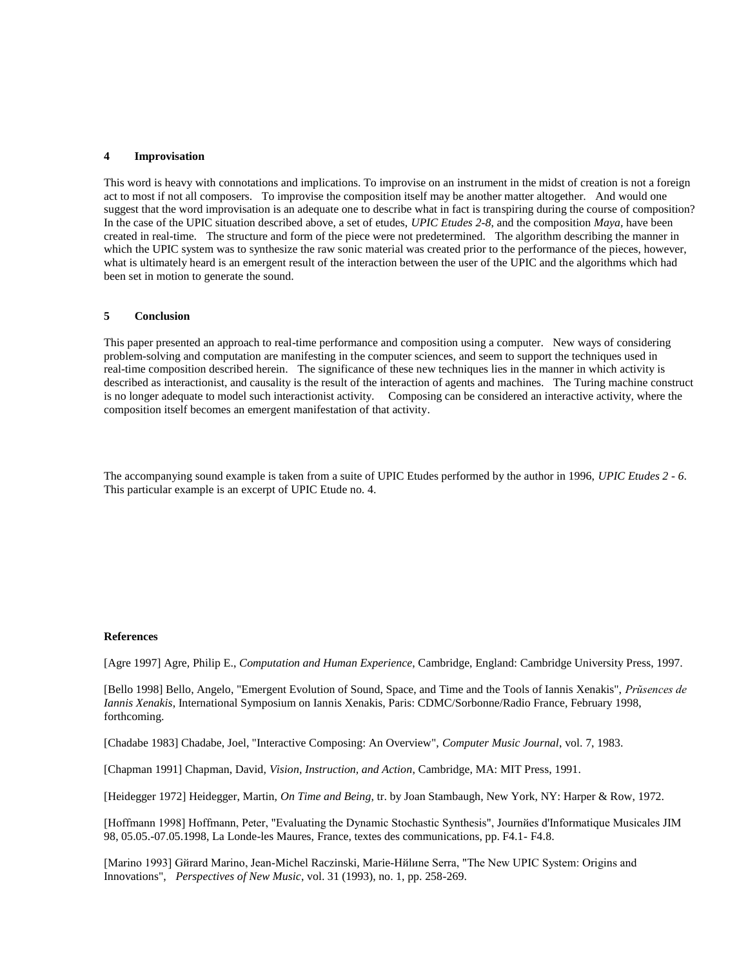#### **4 Improvisation**

This word is heavy with connotations and implications. To improvise on an instrument in the midst of creation is not a foreign act to most if not all composers. To improvise the composition itself may be another matter altogether. And would one suggest that the word improvisation is an adequate one to describe what in fact is transpiring during the course of composition? In the case of the UPIC situation described above, a set of etudes, *UPIC Etudes 2-8*, and the composition *Maya,* have been created in real-time. The structure and form of the piece were not predetermined. The algorithm describing the manner in which the UPIC system was to synthesize the raw sonic material was created prior to the performance of the pieces, however, what is ultimately heard is an emergent result of the interaction between the user of the UPIC and the algorithms which had been set in motion to generate the sound.

## **5 Conclusion**

This paper presented an approach to real-time performance and composition using a computer. New ways of considering problem-solving and computation are manifesting in the computer sciences, and seem to support the techniques used in real-time composition described herein. The significance of these new techniques lies in the manner in which activity is described as interactionist, and causality is the result of the interaction of agents and machines. The Turing machine construct is no longer adequate to model such interactionist activity. Composing can be considered an interactive activity, where the composition itself becomes an emergent manifestation of that activity.

The accompanying sound example is taken from a suite of UPIC Etudes performed by the author in 1996, *UPIC Etudes 2 - 6*. This particular example is an excerpt of UPIC Etude no. 4.

## **References**

[Agre 1997] Agre, Philip E., *Computation and Human Experience*, Cambridge, England: Cambridge University Press, 1997.

[Bello 1998] Bello, Angelo, "Emergent Evolution of Sound, Space, and Time and the Tools of Iannis Xenakis", *Prйsences de Iannis Xenakis*, International Symposium on Iannis Xenakis, Paris: CDMC/Sorbonne/Radio France, February 1998, forthcoming.

[Chadabe 1983] Chadabe, Joel, "Interactive Composing: An Overview", *Computer Music Journal*, vol. 7, 1983.

[Chapman 1991] Chapman, David, *Vision, Instruction, and Action*, Cambridge, MA: MIT Press, 1991.

[Heidegger 1972] Heidegger, Martin, *On Time and Being*, tr. by Joan Stambaugh, New York, NY: Harper & Row, 1972.

[Hoffmann 1998] Hoffmann, Peter, "Evaluating the Dynamic Stochastic Synthesis", Journйes d'Informatique Musicales JIM 98, 05.05.-07.05.1998, La Londe-les Maures, France, textes des communications, pp. F4.1- F4.8.

[Marino 1993] Gйrard Marino, Jean-Michel Raczinski, Marie-Hйlиne Serra, "The New UPIC System: Origins and Innovations", *Perspectives of New Music*, vol. 31 (1993), no. 1, pp. 258-269.